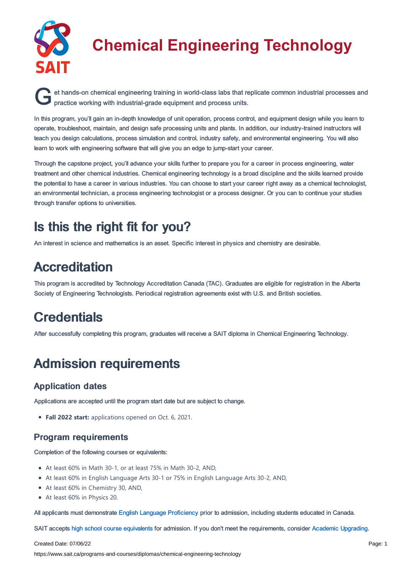

# **Chemical Engineering Technology**

et hands-on chemical engineering training in world-class labs that replicate common industrial processes and practice working with industrial-grade equipment and process units. practice working with industrial-grade equipment and process units.

In this program, you'll gain an in-depth knowledge of unit operation, process control, and equipment design while you learn to operate, troubleshoot, maintain, and design safe processing units and plants. In addition, our industry-trained instructors will teach you design calculations, process simulation and control, industry safety, and environmental engineering. You will also learn to work with engineering software that will give you an edge to jump-start your career.

Through the capstone project, you'll advance your skills further to prepare you for a career in process engineering, water treatment and other chemical industries. Chemical engineering technology is a broad discipline and the skills learned provide the potential to have a career in various industries. You can choose to start your career right away as a chemical technologist, an environmental technician, a process engineering technologist or a process designer. Or you can to continue your studies through transfer options to universities.

## Is this the right fit for you?

An interest in science and mathematics is an asset. Specific interest in physics and chemistry are desirable.

### Accreditation

This program is accredited by Technology Accreditation Canada (TAC). Graduates are eligible for registration in the Alberta Society of Engineering Technologists. Periodical registration agreements exist with U.S. and British societies.

### **Credentials**

After successfully completing this program, graduates will receive a SAIT diploma in Chemical Engineering Technology.

## Admission requirements

### Application dates

Applications are accepted until the program start date but are subject to change.

**Fall 2022 start:** applications opened on Oct. 6, 2021.

#### Program requirements

Completion of the following courses or equivalents:

- At least 60% in Math 30-1, or at least 75% in Math 30-2, AND,
- At least 60% in English Language Arts 30-1 or 75% in English Language Arts 30-2, AND,
- At least 60% in Chemistry 30, AND,
- At least 60% in Physics 20.

All applicants must demonstrate English Language [Proficiency](https://www.sait.ca/admissions/before-you-apply/english-proficiency) prior to admission, including students educated in Canada.

SAIT accepts high school course [equivalents](https://www.sait.ca/admissions/before-you-apply/high-school-course-equivalencies) for admission. If you don't meet the requirements, consider Academic [Upgrading.](https://www.sait.ca/programs-and-courses/academic-upgrading)

#### Created Date: 07/06/22

https://www.sait.ca/programs-and-courses/diplomas/chemical-engineering-technology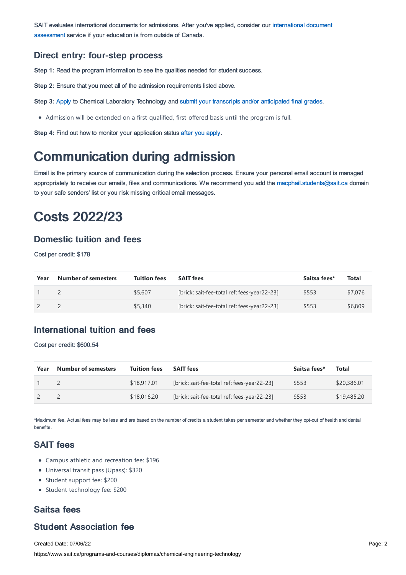SAIT evaluates [international](https://www.sait.ca/admissions/after-you-apply/international-document-assessment) documents for admissions. After you've applied, consider our international document assessment service if your education is from outside of Canada.

#### Direct entry: four-step process

**Step 1:** Read the program information to see the qualities needed for student success.

**Step 2:** Ensure that you meet all of the admission requirements listed above.

**Step 3:** [Apply](https://www.sait.ca/admissions/apply) to Chemical Laboratory Technology and submit your transcripts and/or [anticipated](https://www.sait.ca/admissions/after-you-apply/transcripts-and-supporting-documents) final grades.

Admission will be extended on a first-qualified, first-offered basis until the program is full.

**Step 4:** Find out how to monitor your application status after you [apply](https://www.sait.ca/admissions/after-you-apply/tracking-your-application).

### Communication during admission

Email is the primary source of communication during the selection process. Ensure your personal email account is managed appropriately to receive our emails, files and communications. We recommend you add the [macphail.students@sait.ca](https://sait.camailto:macphail.students@sait.ca) domain to your safe senders' list or you risk missing critical email messages.

### Costs 2022/23

#### Domestic tuition and fees

Cost per credit: \$178

| Year | <b>Number of semesters</b> | <b>Tuition fees</b> | <b>SAIT fees</b>                            | Saitsa fees* | <b>Total</b> |
|------|----------------------------|---------------------|---------------------------------------------|--------------|--------------|
|      |                            | \$5,607             | [brick: sait-fee-total ref: fees-year22-23] | \$553        | \$7,076      |
|      |                            | \$5,340             | [brick: sait-fee-total ref: fees-year22-23] | \$553        | \$6,809      |

### International tuition and fees

Cost per credit: \$600.54

| Year | <b>Number of semesters</b> | <b>Tuition fees</b> | <b>SAIT fees</b>                            | Saitsa fees* | Total       |
|------|----------------------------|---------------------|---------------------------------------------|--------------|-------------|
|      |                            | \$18,917.01         | [brick: sait-fee-total ref: fees-year22-23] | \$553        | \$20,386.01 |
|      |                            | \$18,016.20         | [brick: sait-fee-total ref: fees-year22-23] | \$553        | \$19,485.20 |

\*Maximum fee. Actual fees may be less and are based on the number of credits a student takes per semester and whether they opt-out of health and dental benefits.

### SAIT fees

- Campus athletic and recreation fee: \$196
- Universal transit pass (Upass): \$320
- Student support fee: \$200
- Student technology fee: \$200

### Saitsa fees

### Student Association fee

Created Date: 07/06/22 https://www.sait.ca/programs-and-courses/diplomas/chemical-engineering-technology